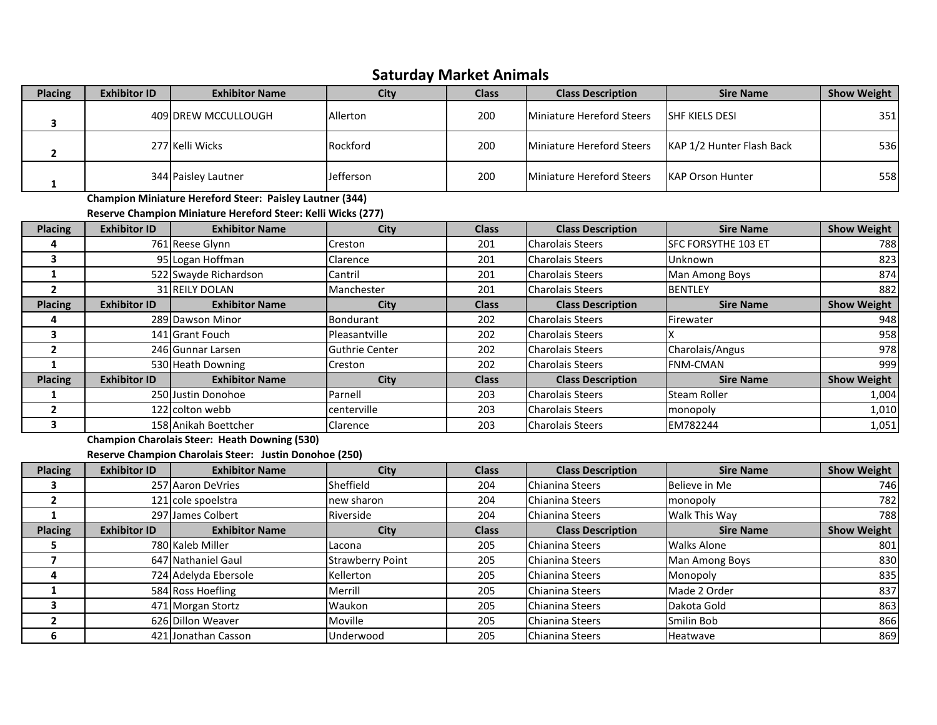## **Saturday Market Animals**

| <b>Placing</b>          | <b>Exhibitor ID</b> | <b>Exhibitor Name</b>                                        | City                    | <b>Class</b> | <b>Class Description</b>         | <b>Sire Name</b>          | <b>Show Weight</b> |
|-------------------------|---------------------|--------------------------------------------------------------|-------------------------|--------------|----------------------------------|---------------------------|--------------------|
| $\overline{\mathbf{3}}$ |                     | 409 DREW MCCULLOUGH                                          | Allerton                | 200          | <b>Miniature Hereford Steers</b> | <b>SHF KIELS DESI</b>     | 351                |
| $\mathbf{2}$            |                     | 277 Kelli Wicks                                              | Rockford                | 200          | <b>Miniature Hereford Steers</b> | KAP 1/2 Hunter Flash Back | 536                |
| $\mathbf{1}$            |                     | 344 Paisley Lautner                                          | Jefferson               | 200          | <b>Miniature Hereford Steers</b> | <b>KAP Orson Hunter</b>   | 558                |
|                         |                     | Champion Miniature Hereford Steer: Paisley Lautner (344)     |                         |              |                                  |                           |                    |
|                         |                     | Reserve Champion Miniature Hereford Steer: Kelli Wicks (277) |                         |              |                                  |                           |                    |
| <b>Placing</b>          | <b>Exhibitor ID</b> | <b>Exhibitor Name</b>                                        | <b>City</b>             | <b>Class</b> | <b>Class Description</b>         | <b>Sire Name</b>          | <b>Show Weight</b> |
| 4                       |                     | 761 Reese Glynn                                              | Creston                 | 201          | <b>Charolais Steers</b>          | SFC FORSYTHE 103 ET       | 788                |
| 3                       |                     | 95 Logan Hoffman                                             | Clarence                | 201          | <b>Charolais Steers</b>          | Unknown                   | 823                |
| $\mathbf{1}$            |                     | 522 Swayde Richardson                                        | Cantril                 | 201          | <b>Charolais Steers</b>          | Man Among Boys            | 874                |
| $\overline{2}$          |                     | 31 REILY DOLAN                                               | Manchester              | 201          | <b>Charolais Steers</b>          | <b>BENTLEY</b>            | 882                |
| <b>Placing</b>          | <b>Exhibitor ID</b> | <b>Exhibitor Name</b>                                        | <b>City</b>             | <b>Class</b> | <b>Class Description</b>         | <b>Sire Name</b>          | <b>Show Weight</b> |
| 4                       |                     | 289 Dawson Minor                                             | <b>Bondurant</b>        | 202          | <b>Charolais Steers</b>          | Firewater                 | 948                |
| 3                       |                     | 141 Grant Fouch                                              | Pleasantville           | 202          | <b>Charolais Steers</b>          |                           | 958                |
| $\mathbf{2}$            |                     | 246 Gunnar Larsen                                            | <b>Guthrie Center</b>   | 202          | <b>Charolais Steers</b>          | Charolais/Angus           | 978                |
| $\mathbf{1}$            |                     | 530 Heath Downing                                            | Creston                 | 202          | <b>Charolais Steers</b>          | <b>FNM-CMAN</b>           | 999                |
| Placing                 | <b>Exhibitor ID</b> | <b>Exhibitor Name</b>                                        | City                    | <b>Class</b> | <b>Class Description</b>         | <b>Sire Name</b>          | <b>Show Weight</b> |
| $\mathbf{1}$            |                     | 250 Justin Donohoe                                           | Parnell                 | 203          | <b>Charolais Steers</b>          | <b>Steam Roller</b>       | 1,004              |
| $\mathbf{2}$            |                     | 122 colton webb                                              | centerville             | 203          | <b>Charolais Steers</b>          | monopoly                  | 1,010              |
| 3                       |                     | 158 Anikah Boettcher                                         | Clarence                | 203          | <b>Charolais Steers</b>          | EM782244                  | 1,051              |
|                         |                     | <b>Champion Charolais Steer: Heath Downing (530)</b>         |                         |              |                                  |                           |                    |
|                         |                     | Reserve Champion Charolais Steer: Justin Donohoe (250)       |                         |              |                                  |                           |                    |
| <b>Placing</b>          | <b>Exhibitor ID</b> | <b>Exhibitor Name</b>                                        | <b>City</b>             | <b>Class</b> | <b>Class Description</b>         | <b>Sire Name</b>          | <b>Show Weight</b> |
| 3                       |                     | 257 Aaron DeVries                                            | Sheffield               | 204          | <b>Chianina Steers</b>           | Believe in Me             | 746                |
| $\mathbf{2}$            |                     | 121 cole spoelstra                                           | new sharon              | 204          | Chianina Steers                  | monopoly                  | 782                |
| $\mathbf{1}$            |                     | 297 James Colbert                                            | Riverside               | 204          | Chianina Steers                  | Walk This Way             | 788                |
| <b>Placing</b>          | <b>Exhibitor ID</b> | <b>Exhibitor Name</b>                                        | City                    | <b>Class</b> | <b>Class Description</b>         | <b>Sire Name</b>          | <b>Show Weight</b> |
| 5                       |                     | 780 Kaleb Miller                                             | Lacona                  | 205          | Chianina Steers                  | <b>Walks Alone</b>        | 801                |
| $\overline{\mathbf{z}}$ |                     | 647 Nathaniel Gaul                                           | <b>Strawberry Point</b> | 205          | Chianina Steers                  | Man Among Boys            | 830                |
| 4                       |                     | 724 Adelyda Ebersole                                         | Kellerton               | 205          | Chianina Steers                  | Monopoly                  | 835                |
| $\mathbf{1}$            |                     | 584 Ross Hoefling                                            | Merrill                 | 205          | Chianina Steers                  | Made 2 Order              | 837                |
| $\overline{\mathbf{3}}$ |                     | 471 Morgan Stortz                                            | Waukon                  | 205          | Chianina Steers                  | Dakota Gold               | 863                |
| $\overline{\mathbf{2}}$ |                     | 626 Dillon Weaver                                            | Moville                 | 205          | Chianina Steers                  | Smilin Bob                | 866                |
| 6                       |                     | 421 Jonathan Casson                                          | Underwood               | 205          | Chianina Steers                  | Heatwave                  | 869                |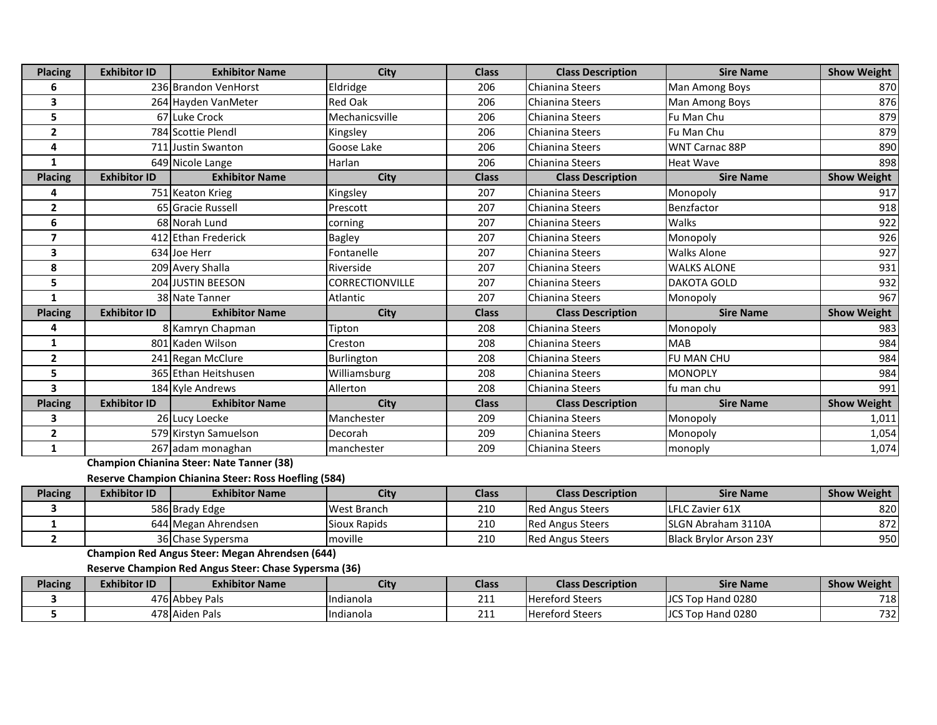| <b>Placing</b> | <b>Exhibitor ID</b> | <b>Exhibitor Name</b> | City                   | <b>Class</b> | <b>Class Description</b> | <b>Sire Name</b>      | <b>Show Weight</b> |
|----------------|---------------------|-----------------------|------------------------|--------------|--------------------------|-----------------------|--------------------|
| 6              |                     | 236 Brandon VenHorst  | Eldridge               | 206          | <b>Chianina Steers</b>   | Man Among Boys        | 870                |
| 3              |                     | 264 Hayden VanMeter   | Red Oak                | 206          | <b>Chianina Steers</b>   | Man Among Boys        | 876                |
| 5              |                     | 67 Luke Crock         | Mechanicsville         | 206          | Chianina Steers          | Fu Man Chu            | 879                |
| $\overline{2}$ |                     | 784 Scottie Plendl    | Kingsley               | 206          | <b>Chianina Steers</b>   | Fu Man Chu            | 879                |
| 4              |                     | 711 Justin Swanton    | Goose Lake             | 206          | Chianina Steers          | <b>WNT Carnac 88P</b> | 890                |
| 1              |                     | 649 Nicole Lange      | Harlan                 | 206          | Chianina Steers          | <b>Heat Wave</b>      | 898                |
| <b>Placing</b> | <b>Exhibitor ID</b> | <b>Exhibitor Name</b> | City                   | <b>Class</b> | <b>Class Description</b> | <b>Sire Name</b>      | <b>Show Weight</b> |
| 4              |                     | 751 Keaton Krieg      | Kingsley               | 207          | <b>Chianina Steers</b>   | Monopoly              | 917                |
| $\overline{2}$ |                     | 65 Gracie Russell     | Prescott               | 207          | Chianina Steers          | Benzfactor            | 918                |
| 6              |                     | 68 Norah Lund         | corning                | 207          | <b>Chianina Steers</b>   | Walks                 | 922                |
| $\overline{7}$ |                     | 412 Ethan Frederick   | <b>Bagley</b>          | 207          | <b>Chianina Steers</b>   | Monopoly              | 926                |
| 3              |                     | 634 Joe Herr          | Fontanelle             | 207          | <b>Chianina Steers</b>   | <b>Walks Alone</b>    | 927                |
| 8              |                     | 209 Avery Shalla      | Riverside              | 207          | <b>Chianina Steers</b>   | <b>WALKS ALONE</b>    | 931                |
| 5              |                     | 204 JUSTIN BEESON     | <b>CORRECTIONVILLE</b> | 207          | <b>Chianina Steers</b>   | <b>DAKOTA GOLD</b>    | 932                |
| 1              |                     | 38 Nate Tanner        | Atlantic               | 207          | Chianina Steers          | Monopoly              | 967                |
| <b>Placing</b> | <b>Exhibitor ID</b> | <b>Exhibitor Name</b> | City                   | <b>Class</b> | <b>Class Description</b> | <b>Sire Name</b>      | <b>Show Weight</b> |
| 4              |                     | 8 Kamryn Chapman      | Tipton                 | 208          | <b>Chianina Steers</b>   | Monopoly              | 983                |
| 1              |                     | 801 Kaden Wilson      | Creston                | 208          | Chianina Steers          | <b>MAB</b>            | 984                |
| $\overline{2}$ |                     | 241 Regan McClure     | Burlington             | 208          | <b>Chianina Steers</b>   | FU MAN CHU            | 984                |
| 5              |                     | 365 Ethan Heitshusen  | Williamsburg           | 208          | Chianina Steers          | <b>MONOPLY</b>        | 984                |
| 3              |                     | 184 Kyle Andrews      | Allerton               | 208          | Chianina Steers          | fu man chu            | 991                |
| <b>Placing</b> | <b>Exhibitor ID</b> | <b>Exhibitor Name</b> | City                   | <b>Class</b> | <b>Class Description</b> | <b>Sire Name</b>      | <b>Show Weight</b> |
| 3              |                     | 26 Lucy Loecke        | Manchester             | 209          | <b>Chianina Steers</b>   | Monopoly              | 1,011              |
| $\overline{2}$ |                     | 579 Kirstyn Samuelson | Decorah                | 209          | <b>Chianina Steers</b>   | Monopoly              | 1,054              |
| 1              |                     | 267 adam monaghan     | manchester             | 209          | Chianina Steers          | monoply               | 1,074              |

**Champion Chianina Steer: Nate Tanner (38)**

## **Reserve Champion Chianina Steer: Ross Hoefling (584)**

| <b>Placing</b> | <b>Exhibitor ID</b> | <b>Exhibitor Name</b> | City                | Class | <b>Class Description</b> | <b>Sire Name</b>              | <b>Show Weight</b> |
|----------------|---------------------|-----------------------|---------------------|-------|--------------------------|-------------------------------|--------------------|
|                |                     | 586 Brady Edge        | West Branch         | 210   | <b>IRed Angus Steers</b> | <b>ILFLC Zavier 61X</b>       | 8201               |
|                |                     | 644 Megan Ahrendsen   | <b>Sioux Rapids</b> | 210   | <b>Red Angus Steers</b>  | <b>ISLGN Abraham 3110A</b>    | 8721               |
|                |                     | 36 Chase Sypersma     | moville             | 210   | <b>Red Angus Steers</b>  | <b>Black Brylor Arson 23Y</b> | 950                |

**Champion Red Angus Steer: Megan Ahrendsen (644)**

**Reserve Champion Red Angus Steer: Chase Sypersma (36)**

| <b>Placing</b> | <b>Exhibitor ID</b> | <b>Exhibitor Name</b> | City             | Class        | <b>Class Description</b> | <b>Sire Name</b>                   | <b>Show Weight</b> |
|----------------|---------------------|-----------------------|------------------|--------------|--------------------------|------------------------------------|--------------------|
|                |                     | 176 Abbey Pals        | <b>Indianola</b> | <u>_ _ _</u> | <b>Hereford Steers</b>   | <b>Hand 0280</b><br><b>JCS Top</b> | 718                |
|                |                     | 478 Aiden Pals        | Indianola        | <u>_ _ _</u> | <b>Hereford Steers</b>   | <b>Hand 0280</b><br><b>JCS Top</b> | 732                |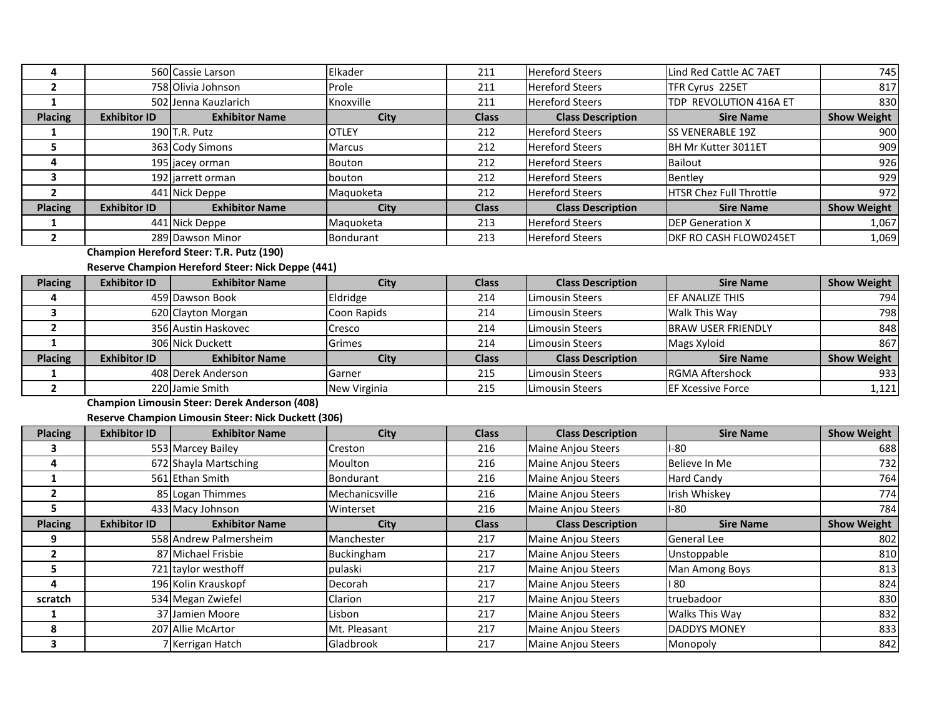| 4                       |                     | 560 Cassie Larson                                    | Elkader          | 211          | <b>Hereford Steers</b>    | Lind Red Cattle AC 7AET        | 745                |
|-------------------------|---------------------|------------------------------------------------------|------------------|--------------|---------------------------|--------------------------------|--------------------|
| $\overline{2}$          |                     | 758 Olivia Johnson                                   | Prole            | 211          | Hereford Steers           | TFR Cyrus 225ET                | 817                |
| $\mathbf{1}$            |                     | 502 Jenna Kauzlarich                                 | Knoxville        | 211          | <b>Hereford Steers</b>    | TDP REVOLUTION 416A ET         | 830                |
| <b>Placing</b>          | <b>Exhibitor ID</b> | <b>Exhibitor Name</b>                                | <b>City</b>      | <b>Class</b> | <b>Class Description</b>  | <b>Sire Name</b>               | <b>Show Weight</b> |
| 1                       |                     | 190 T.R. Putz                                        | <b>OTLEY</b>     | 212          | <b>Hereford Steers</b>    | <b>SS VENERABLE 19Z</b>        | 900                |
| 5                       |                     | 363 Cody Simons                                      | Marcus           | 212          | <b>Hereford Steers</b>    | BH Mr Kutter 3011ET            | 909                |
| 4                       |                     | 195 jacey orman                                      | Bouton           | 212          | <b>Hereford Steers</b>    | Bailout                        | 926                |
| $\overline{\mathbf{3}}$ |                     | 192 jarrett orman                                    | bouton           | 212          | <b>Hereford Steers</b>    | Bentley                        | 929                |
| $\overline{\mathbf{2}}$ |                     | 441 Nick Deppe                                       | Maquoketa        | 212          | <b>Hereford Steers</b>    | <b>HTSR Chez Full Throttle</b> | 972                |
| <b>Placing</b>          | <b>Exhibitor ID</b> | <b>Exhibitor Name</b>                                | City             | <b>Class</b> | <b>Class Description</b>  | <b>Sire Name</b>               | <b>Show Weight</b> |
| $\mathbf{1}$            |                     | 441 Nick Deppe                                       | Maquoketa        | 213          | <b>Hereford Steers</b>    | <b>DEP Generation X</b>        | 1,067              |
| $\overline{2}$          |                     | 289 Dawson Minor                                     | <b>Bondurant</b> | 213          | <b>Hereford Steers</b>    | DKF RO CASH FLOW0245ET         | 1,069              |
|                         |                     | Champion Hereford Steer: T.R. Putz (190)             |                  |              |                           |                                |                    |
|                         |                     | Reserve Champion Hereford Steer: Nick Deppe (441)    |                  |              |                           |                                |                    |
| <b>Placing</b>          | <b>Exhibitor ID</b> | <b>Exhibitor Name</b>                                | <b>City</b>      | <b>Class</b> | <b>Class Description</b>  | <b>Sire Name</b>               | <b>Show Weight</b> |
| 4                       |                     | 459 Dawson Book                                      | Eldridge         | 214          | Limousin Steers           | EF ANALIZE THIS                | 794                |
| 3                       |                     | 620 Clayton Morgan                                   | Coon Rapids      | 214          | Limousin Steers           | Walk This Way                  | 798                |
| $\overline{2}$          |                     | 356 Austin Haskovec                                  | Cresco           | 214          | <b>Limousin Steers</b>    | <b>BRAW USER FRIENDLY</b>      | 848                |
| $\mathbf{1}$            |                     | 306 Nick Duckett                                     | Grimes           | 214          | Limousin Steers           | Mags Xyloid                    | 867                |
| <b>Placing</b>          | <b>Exhibitor ID</b> | <b>Exhibitor Name</b>                                | <b>City</b>      | <b>Class</b> | <b>Class Description</b>  | <b>Sire Name</b>               | <b>Show Weight</b> |
| $\mathbf{1}$            |                     | 408 Derek Anderson                                   | Garner           | 215          | Limousin Steers           | <b>RGMA Aftershock</b>         | 933                |
| $\mathbf{2}$            |                     | 220 Jamie Smith                                      | New Virginia     | 215          | <b>Limousin Steers</b>    | <b>EF Xcessive Force</b>       | 1,121              |
|                         |                     | <b>Champion Limousin Steer: Derek Anderson (408)</b> |                  |              |                           |                                |                    |
|                         |                     | Reserve Champion Limousin Steer: Nick Duckett (306)  |                  |              |                           |                                |                    |
| <b>Placing</b>          | <b>Exhibitor ID</b> | <b>Exhibitor Name</b>                                | <b>City</b>      | <b>Class</b> | <b>Class Description</b>  | <b>Sire Name</b>               | <b>Show Weight</b> |
| 3                       |                     | 553 Marcey Bailey                                    | Creston          | 216          | Maine Anjou Steers        | $I-80$                         | 688                |
| $\overline{a}$          |                     | 672 Shayla Martsching                                | Moulton          | 216          | Maine Anjou Steers        | Believe In Me                  | 732                |
| $\mathbf{1}$            |                     | 561 Ethan Smith                                      | <b>Bondurant</b> | 216          | <b>Maine Anjou Steers</b> | <b>Hard Candy</b>              | 764                |
| $\overline{2}$          |                     | 85 Logan Thimmes                                     | Mechanicsville   | 216          | <b>Maine Anjou Steers</b> | Irish Whiskey                  | 774                |
| 5                       |                     | 433 Macy Johnson                                     | Winterset        | 216          | <b>Maine Anjou Steers</b> | $I-80$                         | 784                |
| <b>Placing</b>          | <b>Exhibitor ID</b> | <b>Exhibitor Name</b>                                | City             | <b>Class</b> | <b>Class Description</b>  | <b>Sire Name</b>               | <b>Show Weight</b> |
| 9                       |                     | 558 Andrew Palmersheim                               | Manchester       | 217          | <b>Maine Anjou Steers</b> | General Lee                    | 802                |
| $\overline{2}$          |                     | 87 Michael Frisbie                                   | Buckingham       | 217          | <b>Maine Anjou Steers</b> | Unstoppable                    | 810                |
| 5                       |                     | 721 taylor westhoff                                  | pulaski          | 217          | Maine Anjou Steers        | Man Among Boys                 | 813                |
| 4                       |                     | 196 Kolin Krauskopf                                  | Decorah          | 217          | Maine Anjou Steers        | 180                            | 824                |
| scratch                 |                     | 534 Megan Zwiefel                                    | Clarion          | 217          | Maine Anjou Steers        | truebadoor                     | 830                |
| 1                       |                     | 37 Jamien Moore                                      | Lisbon           | 217          | Maine Anjou Steers        | Walks This Way                 | 832                |
| 8                       | 207                 | Allie McArtor                                        | Mt. Pleasant     | 217          | Maine Anjou Steers        | <b>DADDYS MONEY</b>            | 833                |
| $\overline{\mathbf{3}}$ |                     | 7 Kerrigan Hatch                                     | Gladbrook        | 217          | <b>Maine Anjou Steers</b> | Monopoly                       | 842                |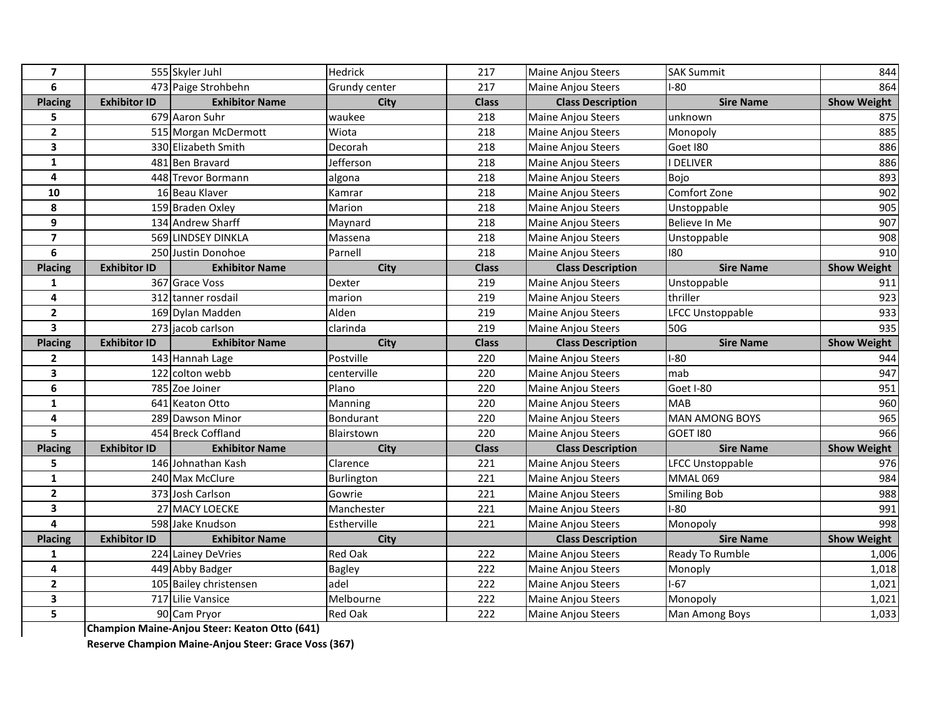| $\overline{7}$          |                     | 555 Skyler Juhl                               | Hedrick          | 217          | Maine Anjou Steers        | <b>SAK Summit</b>       | 844                |
|-------------------------|---------------------|-----------------------------------------------|------------------|--------------|---------------------------|-------------------------|--------------------|
| 6                       |                     | 473 Paige Strohbehn                           | Grundy center    | 217          | <b>Maine Anjou Steers</b> | $I-80$                  | 864                |
| <b>Placing</b>          | <b>Exhibitor ID</b> | <b>Exhibitor Name</b>                         | City             | <b>Class</b> | <b>Class Description</b>  | <b>Sire Name</b>        | <b>Show Weight</b> |
| 5                       |                     | 679 Aaron Suhr                                | waukee           | 218          | Maine Anjou Steers        | unknown                 | 875                |
| $\overline{\mathbf{2}}$ |                     | 515 Morgan McDermott                          | Wiota            | 218          | Maine Anjou Steers        | Monopoly                | 885                |
| 3                       |                     | 330 Elizabeth Smith                           | Decorah          | 218          | Maine Anjou Steers        | Goet I80                | 886                |
| $\mathbf{1}$            |                     | 481 Ben Bravard                               | Jefferson        | 218          | <b>Maine Anjou Steers</b> | I DELIVER               | 886                |
| $\overline{a}$          |                     | 448 Trevor Bormann                            | algona           | 218          | Maine Anjou Steers        | Bojo                    | 893                |
| 10                      |                     | 16 Beau Klaver                                | Kamrar           | 218          | <b>Maine Anjou Steers</b> | Comfort Zone            | 902                |
| 8                       |                     | 159 Braden Oxley                              | Marion           | 218          | Maine Anjou Steers        | Unstoppable             | 905                |
| 9                       |                     | 134 Andrew Sharff                             | Maynard          | 218          | <b>Maine Anjou Steers</b> | Believe In Me           | 907                |
| $\overline{\mathbf{z}}$ |                     | 569 LINDSEY DINKLA                            | Massena          | 218          | Maine Anjou Steers        | Unstoppable             | 908                |
| 6                       |                     | 250 Justin Donohoe                            | Parnell          | 218          | <b>Maine Anjou Steers</b> | 180                     | 910                |
| <b>Placing</b>          | <b>Exhibitor ID</b> | <b>Exhibitor Name</b>                         | City             | <b>Class</b> | <b>Class Description</b>  | <b>Sire Name</b>        | <b>Show Weight</b> |
| $\mathbf{1}$            |                     | 367 Grace Voss                                | Dexter           | 219          | <b>Maine Anjou Steers</b> | Unstoppable             | 911                |
| 4                       |                     | 312 tanner rosdail                            | marion           | 219          | Maine Anjou Steers        | thriller                | 923                |
| $\mathbf{2}$            |                     | 169 Dylan Madden                              | Alden            | 219          | Maine Anjou Steers        | <b>LFCC Unstoppable</b> | 933                |
| 3                       |                     | 273 jacob carlson                             | clarinda         | 219          | <b>Maine Anjou Steers</b> | 50G                     | 935                |
| <b>Placing</b>          | <b>Exhibitor ID</b> | <b>Exhibitor Name</b>                         | <b>City</b>      | <b>Class</b> | <b>Class Description</b>  | <b>Sire Name</b>        | <b>Show Weight</b> |
| $\overline{2}$          |                     | 143 Hannah Lage                               | Postville        | 220          | <b>Maine Anjou Steers</b> | $I-80$                  | 944                |
| 3                       |                     | 122 colton webb                               | centerville      | 220          | Maine Anjou Steers        | mab                     | 947                |
| 6                       |                     | 785 Zoe Joiner                                | Plano            | 220          | Maine Anjou Steers        | Goet I-80               | 951                |
| $\mathbf{1}$            |                     | 641 Keaton Otto                               | Manning          | 220          | Maine Anjou Steers        | <b>MAB</b>              | 960                |
| 4                       |                     | 289 Dawson Minor                              | <b>Bondurant</b> | 220          | <b>Maine Anjou Steers</b> | <b>MAN AMONG BOYS</b>   | 965                |
| 5                       |                     | 454 Breck Coffland                            | Blairstown       | 220          | Maine Anjou Steers        | GOET 180                | 966                |
| <b>Placing</b>          | <b>Exhibitor ID</b> | <b>Exhibitor Name</b>                         | <b>City</b>      | <b>Class</b> | <b>Class Description</b>  | <b>Sire Name</b>        | <b>Show Weight</b> |
| 5                       |                     | 146 Johnathan Kash                            | Clarence         | 221          | Maine Anjou Steers        | LFCC Unstoppable        | 976                |
| $\mathbf{1}$            |                     | 240 Max McClure                               | Burlington       | 221          | Maine Anjou Steers        | <b>MMAL069</b>          | 984                |
| $\overline{2}$          |                     | 373 Josh Carlson                              | Gowrie           | 221          | Maine Anjou Steers        | <b>Smiling Bob</b>      | 988                |
| 3                       |                     | 27 MACY LOECKE                                | Manchester       | 221          | Maine Anjou Steers        | $I-80$                  | 991                |
| 4                       |                     | 598 Jake Knudson                              | Estherville      | 221          | Maine Anjou Steers        | Monopoly                | 998                |
| <b>Placing</b>          | <b>Exhibitor ID</b> | <b>Exhibitor Name</b>                         | City             |              | <b>Class Description</b>  | <b>Sire Name</b>        | <b>Show Weight</b> |
| $\mathbf{1}$            |                     | 224 Lainey DeVries                            | Red Oak          | 222          | Maine Anjou Steers        | Ready To Rumble         | 1,006              |
| 4                       |                     | 449 Abby Badger                               | Bagley           | 222          | Maine Anjou Steers        | Monoply                 | 1,018              |
| $\overline{2}$          |                     | 105 Bailey christensen                        | adel             | 222          | Maine Anjou Steers        | $1-67$                  | 1,021              |
| 3                       |                     | 717 Lilie Vansice                             | Melbourne        | 222          | <b>Maine Anjou Steers</b> | Monopoly                | 1,021              |
| 5                       |                     | 90 Cam Pryor                                  | Red Oak          | 222          | <b>Maine Anjou Steers</b> | Man Among Boys          | 1,033              |
|                         |                     | Champion Maine-Anjou Steer: Keaton Otto (641) |                  |              |                           |                         |                    |

**Reserve Champion Maine-Anjou Steer: Grace Voss (367)**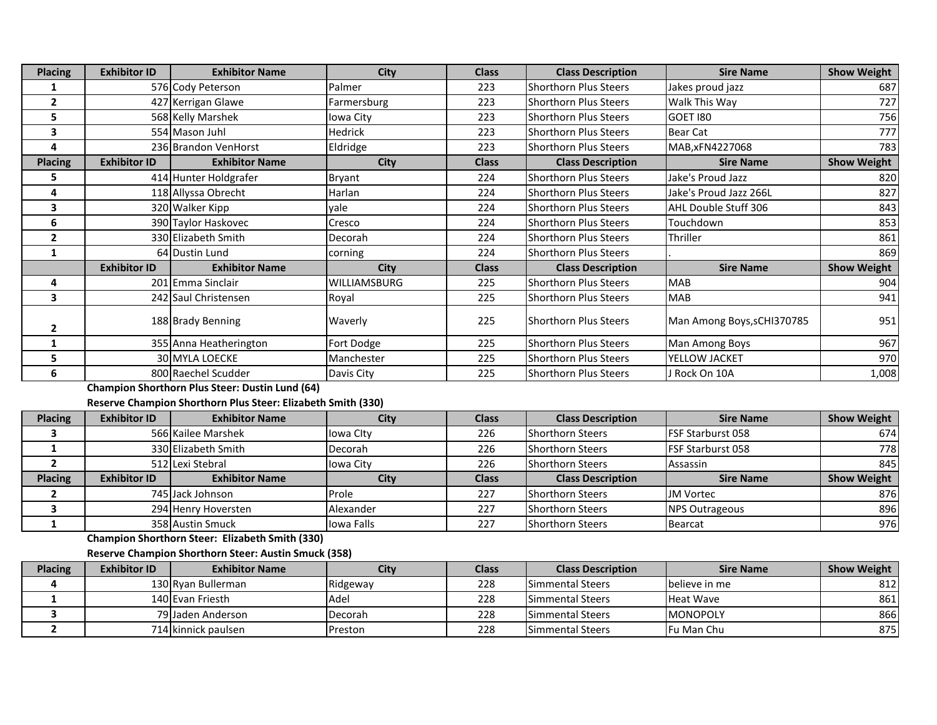| <b>Placing</b> | <b>Exhibitor ID</b> | <b>Exhibitor Name</b>  | <b>City</b>         | <b>Class</b> | <b>Class Description</b>     | <b>Sire Name</b>           | <b>Show Weight</b> |
|----------------|---------------------|------------------------|---------------------|--------------|------------------------------|----------------------------|--------------------|
|                |                     | 576 Cody Peterson      | Palmer              | 223          | <b>Shorthorn Plus Steers</b> | Jakes proud jazz           | 687                |
| $\overline{2}$ |                     | 427 Kerrigan Glawe     | Farmersburg         | 223          | <b>Shorthorn Plus Steers</b> | Walk This Way              | 727                |
| 5              |                     | 568 Kelly Marshek      | Iowa City           | 223          | <b>Shorthorn Plus Steers</b> | GOET 180                   | 756                |
| 3              |                     | 554 Mason Juhl         | <b>Hedrick</b>      | 223          | <b>Shorthorn Plus Steers</b> | <b>Bear Cat</b>            | 777                |
| 4              |                     | 236 Brandon VenHorst   | Eldridge            | 223          | <b>Shorthorn Plus Steers</b> | MAB, xFN4227068            | 783                |
| <b>Placing</b> | <b>Exhibitor ID</b> | <b>Exhibitor Name</b>  | <b>City</b>         | <b>Class</b> | <b>Class Description</b>     | <b>Sire Name</b>           | <b>Show Weight</b> |
| 5              |                     | 414 Hunter Holdgrafer  | Bryant              | 224          | Shorthorn Plus Steers        | Jake's Proud Jazz          | 820                |
| 4              |                     | 118 Allyssa Obrecht    | Harlan              | 224          | <b>Shorthorn Plus Steers</b> | Jake's Proud Jazz 266L     | 827                |
| 3              |                     | 320 Walker Kipp        | yale                | 224          | <b>Shorthorn Plus Steers</b> | AHL Double Stuff 306       | 843                |
| 6              |                     | 390 Taylor Haskovec    | Cresco              | 224          | <b>Shorthorn Plus Steers</b> | Touchdown                  | 853                |
| $\overline{2}$ |                     | 330 Elizabeth Smith    | Decorah             | 224          | <b>Shorthorn Plus Steers</b> | Thriller                   | 861                |
|                |                     | 64 Dustin Lund         | corning             | 224          | Shorthorn Plus Steers        |                            | 869                |
|                | <b>Exhibitor ID</b> | <b>Exhibitor Name</b>  | <b>City</b>         | <b>Class</b> | <b>Class Description</b>     | <b>Sire Name</b>           | <b>Show Weight</b> |
| 4              |                     | 201 Emma Sinclair      | <b>WILLIAMSBURG</b> | 225          | Shorthorn Plus Steers        | <b>MAB</b>                 | 904                |
| 3              |                     | 242 Saul Christensen   | Royal               | 225          | <b>Shorthorn Plus Steers</b> | <b>MAB</b>                 | 941                |
| $\overline{2}$ |                     | 188 Brady Benning      | Waverly             | 225          | <b>Shorthorn Plus Steers</b> | Man Among Boys, sCHI370785 | 951                |
|                |                     | 355 Anna Heatherington | Fort Dodge          | 225          | Shorthorn Plus Steers        | Man Among Boys             | 967                |
| 5              |                     | <b>30 MYLA LOECKE</b>  | Manchester          | 225          | Shorthorn Plus Steers        | YELLOW JACKET              | 970                |
| 6              |                     | 800 Raechel Scudder    | Davis City          | 225          | <b>Shorthorn Plus Steers</b> | J Rock On 10A              | 1,008              |

**Champion Shorthorn Plus Steer: Dustin Lund (64)**

**Reserve Champion Shorthorn Plus Steer: Elizabeth Smith (330)**

| <b>Placing</b> | <b>Exhibitor ID</b> | <b>Exhibitor Name</b> | City          | <b>Class</b> | <b>Class Description</b> | <b>Sire Name</b>          | <b>Show Weight</b> |
|----------------|---------------------|-----------------------|---------------|--------------|--------------------------|---------------------------|--------------------|
|                |                     | 566 Kailee Marshek    | lowa City     | 226          | <b>Shorthorn Steers</b>  | <b>IFSF Starburst 058</b> | 674                |
|                |                     | 330 Elizabeth Smith   | Decorah       | 226          | <b>Shorthorn Steers</b>  | <b>IFSF Starburst 058</b> | 778I               |
|                |                     | 512 Lexi Stebral      | lowa City     | 226          | <b>Shorthorn Steers</b>  | Assassin                  | 845                |
|                |                     |                       |               |              |                          |                           |                    |
| <b>Placing</b> | <b>Exhibitor ID</b> | <b>Exhibitor Name</b> | City          | <b>Class</b> | <b>Class Description</b> | <b>Sire Name</b>          | <b>Show Weight</b> |
|                |                     | 745 Jack Johnson      | <b>IProle</b> | 227          | <b>Shorthorn Steers</b>  | <b>JM Vortec</b>          | 876I               |
|                |                     | 294 Henry Hoversten   | Alexander     | 227          | <b>Shorthorn Steers</b>  | <b>NPS Outrageous</b>     | 896                |

**Champion Shorthorn Steer: Elizabeth Smith (330)**

**Reserve Champion Shorthorn Steer: Austin Smuck (358)**

| <b>Placing</b> | <b>Exhibitor ID</b> | <b>Exhibitor Name</b> | City            | Class | <b>Class Description</b> | <b>Sire Name</b> | <b>Show Weight</b> |
|----------------|---------------------|-----------------------|-----------------|-------|--------------------------|------------------|--------------------|
|                |                     | 130 Rvan Bullerman    | Ridgeway        | 228   | <b>Simmental Steers</b>  | Ibelieve in me   | 812                |
|                |                     | 140 Evan Friesth      | <b>Adel</b>     | 228   | <b>Simmental Steers</b>  | <b>Heat Wave</b> | 861                |
|                |                     | 79 Jaden Anderson     | Decorah         | 228   | <b>Simmental Steers</b>  | <b>MONOPOLY</b>  | 866                |
|                |                     | 714 kinnick paulsen   | <b>IPreston</b> | 228   | <b>Simmental Steers</b>  | Fu Man Chu       | 875                |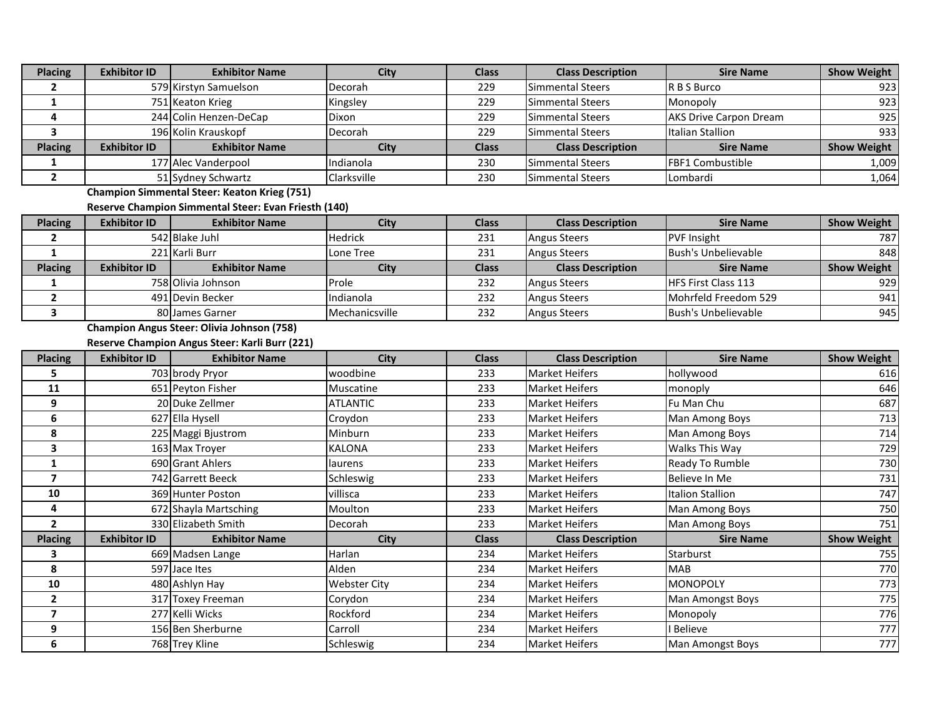| <b>Placing</b> | <b>Exhibitor ID</b> | <b>Exhibitor Name</b>                                       | City           | <b>Class</b> | <b>Class Description</b> | <b>Sire Name</b>              | <b>Show Weight</b> |
|----------------|---------------------|-------------------------------------------------------------|----------------|--------------|--------------------------|-------------------------------|--------------------|
| 2              |                     | 579 Kirstyn Samuelson                                       | Decorah        | 229          | <b>Simmental Steers</b>  | R B S Burco                   | 923                |
|                |                     | 751 Keaton Krieg                                            | Kingsley       | 229          | <b>Simmental Steers</b>  | Monopoly                      | 923                |
| 4              |                     | 244 Colin Henzen-DeCap                                      | Dixon          | 229          | <b>Simmental Steers</b>  | <b>AKS Drive Carpon Dream</b> | 925                |
| 3              |                     | 196 Kolin Krauskopf                                         | Decorah        | 229          | <b>Simmental Steers</b>  | Italian Stallion              | 933                |
| <b>Placing</b> | <b>Exhibitor ID</b> | <b>Exhibitor Name</b>                                       | City           | <b>Class</b> | <b>Class Description</b> | <b>Sire Name</b>              | <b>Show Weight</b> |
|                |                     | 177 Alec Vanderpool                                         | Indianola      | 230          | <b>Simmental Steers</b>  | FBF1 Combustible              | 1,009              |
| $\mathbf{2}$   |                     | 51 Sydney Schwartz                                          | Clarksville    | 230          | Simmental Steers         | Lombardi                      | 1,064              |
|                |                     | <b>Champion Simmental Steer: Keaton Krieg (751)</b>         |                |              |                          |                               |                    |
|                |                     | <b>Reserve Champion Simmental Steer: Evan Friesth (140)</b> |                |              |                          |                               |                    |
| <b>Placing</b> | <b>Exhibitor ID</b> | <b>Exhibitor Name</b>                                       | <b>City</b>    | <b>Class</b> | <b>Class Description</b> | <b>Sire Name</b>              | <b>Show Weight</b> |
| 2              |                     | 542 Blake Juhl                                              | <b>Hedrick</b> | 231          | <b>Angus Steers</b>      | <b>PVF Insight</b>            | 787                |
|                |                     | 221 Karli Burr                                              | Lone Tree      | 231          | <b>Angus Steers</b>      | <b>Bush's Unbelievable</b>    | 848                |
| <b>Placing</b> | <b>Exhibitor ID</b> | <b>Exhibitor Name</b>                                       | <b>City</b>    | <b>Class</b> | <b>Class Description</b> | <b>Sire Name</b>              | <b>Show Weight</b> |
|                |                     | 758 Olivia Johnson                                          | Prole          | 232          | <b>Angus Steers</b>      | HFS First Class 113           | 929                |
| 2              |                     | 491 Devin Becker                                            | Indianola      | 232          | <b>Angus Steers</b>      | Mohrfeld Freedom 529          | 941                |
| 3              |                     | 80 James Garner                                             | Mechanicsville | 232          | <b>Angus Steers</b>      | <b>Bush's Unbelievable</b>    | 945                |
|                |                     | <b>Champion Angus Steer: Olivia Johnson (758)</b>           |                |              |                          |                               |                    |
|                |                     | <b>Reserve Champion Angus Steer: Karli Burr (221)</b>       |                |              |                          |                               |                    |
| <b>Placing</b> | <b>Exhibitor ID</b> | <b>Exhibitor Name</b>                                       | City           | Class        | Class Description        | Sire Name                     | Show Weight        |

| <b>Placing</b> | <b>Exhibitor ID</b> | <b>Exhibitor Name</b> | City                | <b>Class</b> | <b>Class Description</b> | <b>Sire Name</b>        | <b>Show Weight</b> |
|----------------|---------------------|-----------------------|---------------------|--------------|--------------------------|-------------------------|--------------------|
| 5              |                     | 703 brody Pryor       | woodbine            | 233          | <b>Market Heifers</b>    | hollywood               | 616                |
| 11             |                     | 651 Peyton Fisher     | Muscatine           | 233          | <b>Market Heifers</b>    | monoply                 | 646                |
| 9              |                     | 20 Duke Zellmer       | <b>ATLANTIC</b>     | 233          | <b>Market Heifers</b>    | Fu Man Chu              | 687                |
| 6              |                     | 627 Ella Hysell       | Croydon             | 233          | <b>Market Heifers</b>    | Man Among Boys          | 713                |
| 8              |                     | 225 Maggi Bjustrom    | <b>Minburn</b>      | 233          | <b>Market Heifers</b>    | Man Among Boys          | 714                |
| 3              |                     | 163 Max Troyer        | <b>KALONA</b>       | 233          | <b>Market Heifers</b>    | <b>Walks This Way</b>   | 729                |
|                |                     | 690 Grant Ahlers      | laurens             | 233          | <b>Market Heifers</b>    | Ready To Rumble         | 730                |
| 7              |                     | 742 Garrett Beeck     | Schleswig           | 233          | <b>Market Heifers</b>    | Believe In Me           | 731                |
| 10             |                     | 369 Hunter Poston     | villisca            | 233          | <b>Market Heifers</b>    | <b>Italion Stallion</b> | 747                |
| 4              |                     | 672 Shayla Martsching | Moulton             | 233          | <b>Market Heifers</b>    | Man Among Boys          | 750                |
| $\overline{2}$ |                     | 330 Elizabeth Smith   | Decorah             | 233          | <b>Market Heifers</b>    | Man Among Boys          | 751                |
| <b>Placing</b> | <b>Exhibitor ID</b> | <b>Exhibitor Name</b> | <b>City</b>         | <b>Class</b> | <b>Class Description</b> | <b>Sire Name</b>        | <b>Show Weight</b> |
| 3              |                     | 669 Madsen Lange      | Harlan              | 234          | <b>Market Heifers</b>    | Starburst               | 755                |
| 8              |                     | 597 Jace Ites         | Alden               | 234          | <b>Market Heifers</b>    | <b>MAB</b>              | 770                |
| 10             |                     | 480 Ashlyn Hay        | <b>Webster City</b> | 234          | <b>Market Heifers</b>    | <b>MONOPOLY</b>         | 773                |
| 2              |                     | 317 Toxey Freeman     | Corydon             | 234          | <b>Market Heifers</b>    | Man Amongst Boys        | 775                |
| 7              |                     | 277 Kelli Wicks       | Rockford            | 234          | <b>Market Heifers</b>    | Monopoly                | 776                |
| 9              |                     | 156 Ben Sherburne     | Carroll             | 234          | <b>Market Heifers</b>    | Believe                 | 777                |
| 6              |                     | 768 Trey Kline        | Schleswig           | 234          | <b>Market Heifers</b>    | Man Amongst Boys        | 777                |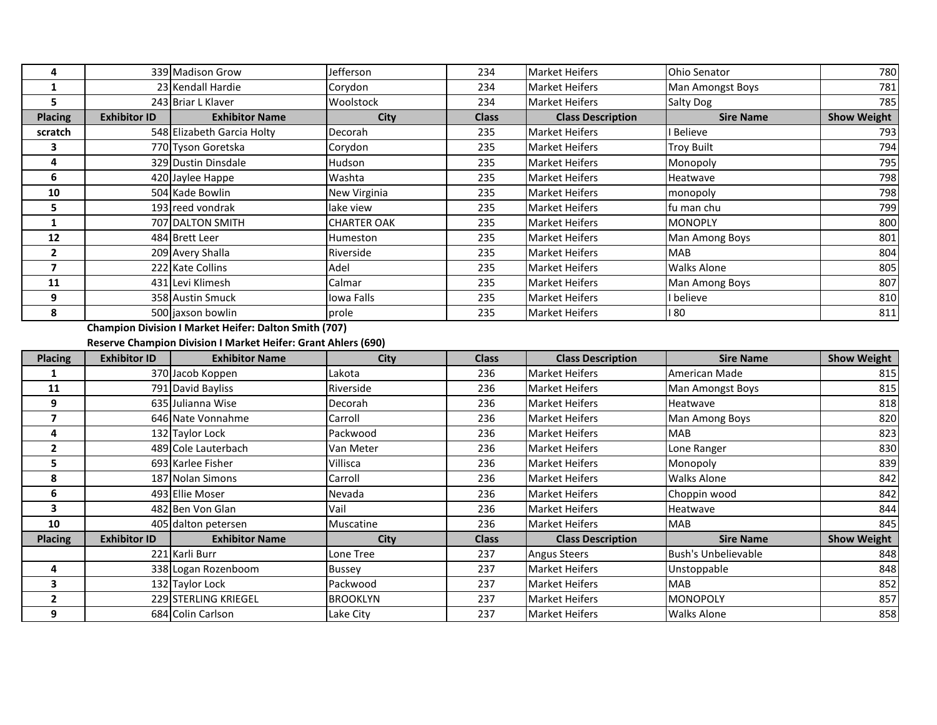| 4                       |                     | 339 Madison Grow                                              | Jefferson          | 234          | <b>Market Heifers</b>    | <b>Ohio Senator</b>        | 780                                                                 |
|-------------------------|---------------------|---------------------------------------------------------------|--------------------|--------------|--------------------------|----------------------------|---------------------------------------------------------------------|
| $\mathbf{1}$            |                     | 23 Kendall Hardie                                             | Corydon            | 234          | <b>Market Heifers</b>    | Man Amongst Boys           | 781                                                                 |
| 5                       |                     | 243 Briar L Klaver                                            | Woolstock          | 234          | <b>Market Heifers</b>    | Salty Dog                  | 785                                                                 |
| <b>Placing</b>          | <b>Exhibitor ID</b> | <b>Exhibitor Name</b>                                         | <b>City</b>        | <b>Class</b> | <b>Class Description</b> | <b>Sire Name</b>           | <b>Show Weight</b>                                                  |
| scratch                 |                     | 548 Elizabeth Garcia Holty                                    | Decorah            | 235          | <b>Market Heifers</b>    | <b>Believe</b>             | 793                                                                 |
| 3                       |                     | 770 Tyson Goretska                                            | Corydon            | 235          | <b>Market Heifers</b>    | <b>Troy Built</b>          | 794                                                                 |
| 4                       |                     | 329 Dustin Dinsdale                                           | Hudson             | 235          | <b>Market Heifers</b>    | Monopoly                   | 795                                                                 |
| 6                       |                     | 420 Jaylee Happe                                              | Washta             | 235          | <b>Market Heifers</b>    | Heatwave                   | 798                                                                 |
| 10                      |                     | 504 Kade Bowlin                                               | New Virginia       | 235          | <b>Market Heifers</b>    | monopoly                   | 798                                                                 |
| 5                       |                     | 193 reed vondrak                                              | lake view          | 235          | <b>Market Heifers</b>    | fu man chu                 | 799                                                                 |
| $\mathbf{1}$            |                     | 707 DALTON SMITH                                              | <b>CHARTER OAK</b> | 235          | <b>Market Heifers</b>    | <b>MONOPLY</b>             | 800                                                                 |
| 12                      |                     | 484 Brett Leer                                                | Humeston           | 235          | <b>Market Heifers</b>    | Man Among Boys             | 801                                                                 |
| $\overline{2}$          |                     | 209 Avery Shalla                                              | Riverside          | 235          | <b>Market Heifers</b>    | <b>MAB</b>                 | 804                                                                 |
| $\overline{\mathbf{z}}$ |                     | 222 Kate Collins                                              | Adel               | 235          | <b>Market Heifers</b>    | <b>Walks Alone</b>         | 805                                                                 |
| 11                      |                     | 431 Levi Klimesh                                              | Calmar             | 235          | Market Heifers           | Man Among Boys             | 807                                                                 |
| 9                       |                     | 358 Austin Smuck                                              | Iowa Falls         | 235          | <b>Market Heifers</b>    | I believe                  | 810                                                                 |
| 8                       |                     | 500 jaxson bowlin                                             | prole              | 235          | <b>Market Heifers</b>    | 180                        | 811                                                                 |
|                         |                     | <b>Champion Division I Market Heifer: Dalton Smith (707)</b>  |                    |              |                          |                            |                                                                     |
|                         |                     |                                                               |                    |              |                          |                            |                                                                     |
|                         |                     | Reserve Champion Division I Market Heifer: Grant Ahlers (690) |                    |              |                          |                            |                                                                     |
| <b>Placing</b>          | <b>Exhibitor ID</b> | <b>Exhibitor Name</b>                                         | City               | <b>Class</b> | <b>Class Description</b> | <b>Sire Name</b>           |                                                                     |
| $\mathbf{1}$            |                     | 370 Jacob Koppen                                              | Lakota             | 236          | <b>Market Heifers</b>    | American Made              |                                                                     |
| 11                      |                     | 791 David Bayliss                                             | Riverside          | 236          | <b>Market Heifers</b>    | Man Amongst Boys           |                                                                     |
| 9                       |                     | 635 Julianna Wise                                             | Decorah            | 236          | <b>Market Heifers</b>    | Heatwave                   |                                                                     |
| $\overline{7}$          |                     | 646 Nate Vonnahme                                             | Carroll            | 236          | <b>Market Heifers</b>    | Man Among Boys             |                                                                     |
| 4                       |                     | 132 Taylor Lock                                               | Packwood           | 236          | <b>Market Heifers</b>    | <b>MAB</b>                 |                                                                     |
| $\overline{2}$          |                     | 489 Cole Lauterbach                                           | Van Meter          | 236          | Market Heifers           | Lone Ranger                |                                                                     |
| 5                       |                     | 693 Karlee Fisher                                             | Villisca           | 236          | <b>Market Heifers</b>    | Monopoly                   | <b>Show Weight</b><br>815<br>815<br>818<br>820<br>823<br>830<br>839 |
| 8                       |                     | 187 Nolan Simons                                              | Carroll            | 236          | <b>Market Heifers</b>    | <b>Walks Alone</b>         |                                                                     |
| 6                       |                     | 493 Ellie Moser                                               | Nevada             | 236          | <b>Market Heifers</b>    | Choppin wood               |                                                                     |
| $\overline{\mathbf{3}}$ |                     | 482 Ben Von Glan                                              | Vail               | 236          | <b>Market Heifers</b>    | Heatwave                   | 842<br>842<br>844                                                   |
| 10                      |                     | 405 dalton petersen                                           | Muscatine          | 236          | <b>Market Heifers</b>    | <b>MAB</b>                 | 845                                                                 |
| <b>Placing</b>          | <b>Exhibitor ID</b> | <b>Exhibitor Name</b>                                         | <b>City</b>        | <b>Class</b> | <b>Class Description</b> | <b>Sire Name</b>           | <b>Show Weight</b>                                                  |
|                         |                     | 221 Karli Burr                                                | Lone Tree          | 237          | <b>Angus Steers</b>      | <b>Bush's Unbelievable</b> | 848                                                                 |
| 4                       |                     | 338 Logan Rozenboom                                           | <b>Bussey</b>      | 237          | <b>Market Heifers</b>    | Unstoppable                | 848                                                                 |
| $\overline{\mathbf{3}}$ |                     | 132 Taylor Lock                                               | Packwood           | 237          | <b>Market Heifers</b>    | <b>MAB</b>                 | 852                                                                 |
| $\mathbf{2}$            |                     | 229 STERLING KRIEGEL                                          | <b>BROOKLYN</b>    | 237          | <b>Market Heifers</b>    | <b>MONOPOLY</b>            | 857<br>858                                                          |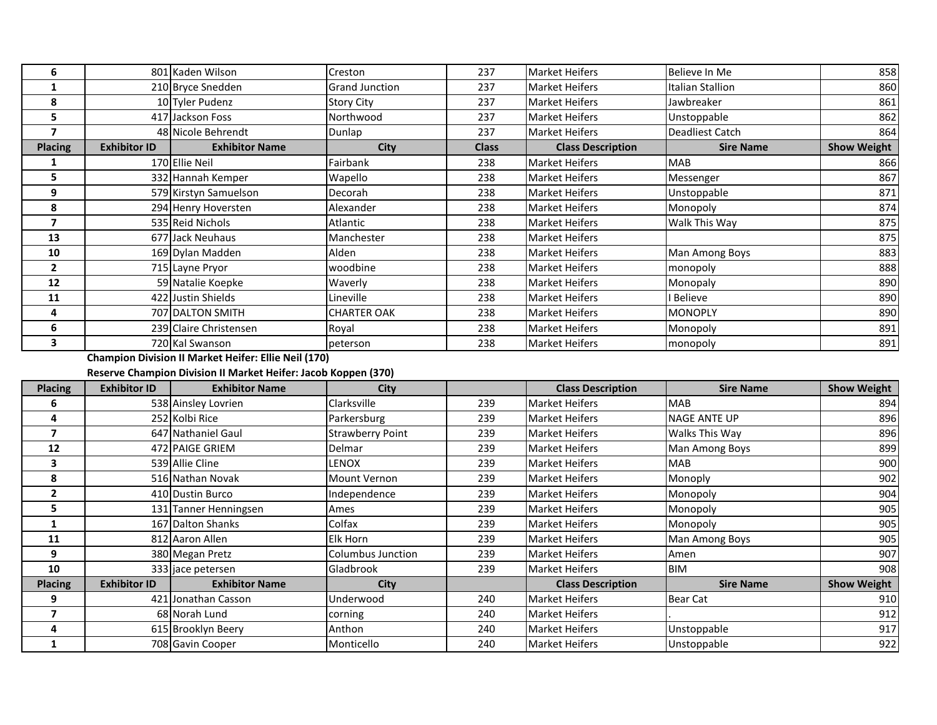| 6              |                     | 801 Kaden Wilson       | Creston               | 237          | <b>Market Heifers</b>    | Believe In Me          | 858                |
|----------------|---------------------|------------------------|-----------------------|--------------|--------------------------|------------------------|--------------------|
|                |                     | 210 Bryce Snedden      | <b>Grand Junction</b> | 237          | <b>Market Heifers</b>    | Italian Stallion       | 860                |
| 8              |                     | 10 Tyler Pudenz        | <b>Story City</b>     | 237          | <b>Market Heifers</b>    | Jawbreaker             | 861                |
| 5              |                     | 417 Jackson Foss       | Northwood             | 237          | <b>Market Heifers</b>    | Unstoppable            | 862                |
| 7              |                     | 48 Nicole Behrendt     | Dunlap                | 237          | <b>Market Heifers</b>    | <b>Deadliest Catch</b> | 864                |
| <b>Placing</b> | <b>Exhibitor ID</b> | <b>Exhibitor Name</b>  | City                  | <b>Class</b> | <b>Class Description</b> | <b>Sire Name</b>       | <b>Show Weight</b> |
|                |                     | 170 Ellie Neil         | Fairbank              | 238          | <b>Market Heifers</b>    | <b>MAB</b>             | 866                |
| 5              |                     | 332 Hannah Kemper      | Wapello               | 238          | <b>Market Heifers</b>    | Messenger              | 867                |
| 9              |                     | 579 Kirstyn Samuelson  | Decorah               | 238          | <b>Market Heifers</b>    | Unstoppable            | 871                |
| 8              |                     | 294 Henry Hoversten    | Alexander             | 238          | <b>Market Heifers</b>    | Monopoly               | 874                |
| 7              |                     | 535 Reid Nichols       | Atlantic              | 238          | <b>Market Heifers</b>    | Walk This Way          | 875                |
| 13             |                     | 677 Jack Neuhaus       | Manchester            | 238          | <b>Market Heifers</b>    |                        | 875                |
| 10             |                     | 169 Dylan Madden       | Alden                 | 238          | <b>Market Heifers</b>    | Man Among Boys         | 883                |
| $\overline{2}$ |                     | 715 Layne Pryor        | woodbine              | 238          | <b>Market Heifers</b>    | monopoly               | 888                |
| 12             |                     | 59 Natalie Koepke      | Waverly               | 238          | <b>Market Heifers</b>    | Monopaly               | 890                |
| 11             |                     | 422 Justin Shields     | Lineville             | 238          | <b>Market Heifers</b>    | I Believe              | 890                |
| 4              |                     | 707 DALTON SMITH       | <b>CHARTER OAK</b>    | 238          | <b>Market Heifers</b>    | <b>MONOPLY</b>         | 890                |
| 6              |                     | 239 Claire Christensen | Royal                 | 238          | <b>Market Heifers</b>    | Monopoly               | 891                |
| 3              |                     | 720 Kal Swanson        | peterson              | 238          | <b>Market Heifers</b>    | monopoly               | 891                |

**Champion Division II Market Heifer: Ellie Neil (170)**

## **Reserve Champion Division II Market Heifer: Jacob Koppen (370)**

| <b>Placing</b> | <b>Exhibitor ID</b> | <b>Exhibitor Name</b> | City                    |     | <b>Class Description</b> | <b>Sire Name</b>    | <b>Show Weight</b> |
|----------------|---------------------|-----------------------|-------------------------|-----|--------------------------|---------------------|--------------------|
| 6              |                     | 538 Ainsley Lovrien   | Clarksville             | 239 | <b>Market Heifers</b>    | <b>MAB</b>          | 894                |
| 4              |                     | 252 Kolbi Rice        | Parkersburg             | 239 | <b>Market Heifers</b>    | <b>NAGE ANTE UP</b> | 896                |
| 7              |                     | 647 Nathaniel Gaul    | <b>Strawberry Point</b> | 239 | <b>Market Heifers</b>    | Walks This Way      | 896                |
| 12             |                     | 472 PAIGE GRIEM       | Delmar                  | 239 | <b>Market Heifers</b>    | Man Among Boys      | 899                |
| 3              |                     | 539 Allie Cline       | LENOX                   | 239 | <b>Market Heifers</b>    | <b>MAB</b>          | 900                |
| 8              |                     | 516 Nathan Novak      | <b>Mount Vernon</b>     | 239 | <b>Market Heifers</b>    | Monoply             | 902                |
| $\overline{2}$ |                     | 410 Dustin Burco      | Independence            | 239 | <b>Market Heifers</b>    | Monopoly            | 904                |
| 5.             |                     | 131 Tanner Henningsen | Ames                    | 239 | <b>Market Heifers</b>    | Monopoly            | 905                |
|                |                     | 167 Dalton Shanks     | Colfax                  | 239 | <b>Market Heifers</b>    | Monopoly            | 905                |
| 11             |                     | 812 Aaron Allen       | Elk Horn                | 239 | <b>Market Heifers</b>    | Man Among Boys      | 905                |
| 9              |                     | 380 Megan Pretz       | Columbus Junction       | 239 | <b>Market Heifers</b>    | Amen                | 907                |
| 10             |                     | 333 jace petersen     | Gladbrook               | 239 | <b>Market Heifers</b>    | <b>BIM</b>          | 908                |
| <b>Placing</b> | <b>Exhibitor ID</b> | <b>Exhibitor Name</b> | <b>City</b>             |     | <b>Class Description</b> | <b>Sire Name</b>    | <b>Show Weight</b> |
| 9              |                     | 421 Jonathan Casson   | Underwood               | 240 | <b>Market Heifers</b>    | <b>Bear Cat</b>     | 910                |
|                |                     | 68 Norah Lund         | corning                 | 240 | <b>Market Heifers</b>    |                     | 912                |
| 4              |                     | 615 Brooklyn Beery    | Anthon                  | 240 | <b>Market Heifers</b>    | Unstoppable         | 917                |
|                |                     | 708 Gavin Cooper      | Monticello              | 240 | <b>Market Heifers</b>    | Unstoppable         | 922                |